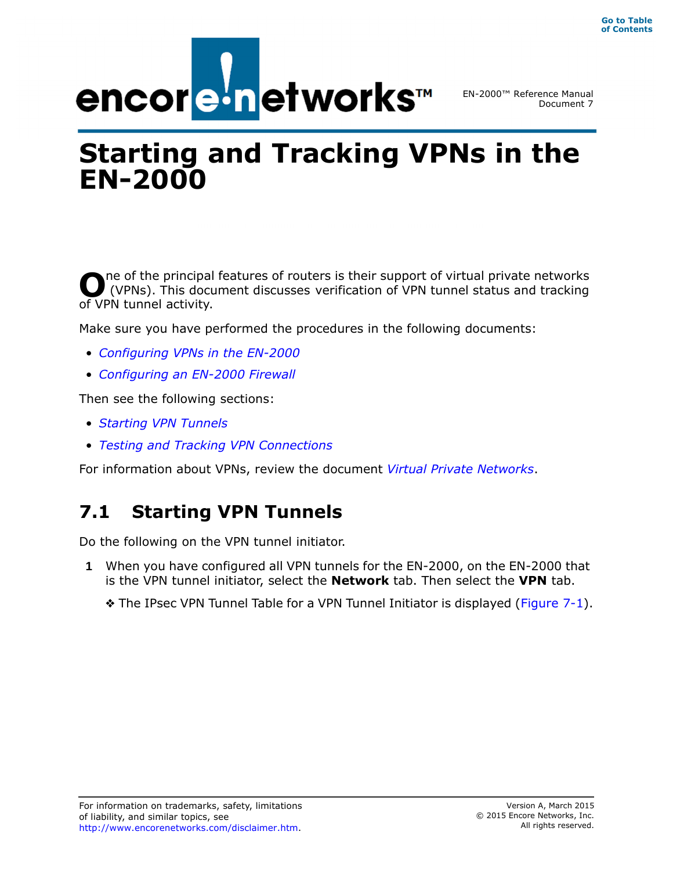

# **Starting and Tracking VPNs in the EN-2000**

ne of the principal features of routers is their support of virtual private networks (VPNs). This document discusses verification of VPN tunnel status and tracking **O** (VPNs). This docu of VPN tunnel activity.

Make sure you have performed the procedures in the following documents:

- *Configuring VPNs in the EN-2000*
- *Configuring an EN-2000 Firewall*

Then see the following sections:

- *Starting VPN Tunnels*
- *Testing and Tracking VPN Connections*

For information about VPNs, review the document *Virtual Private Networks*.

## **7.1 Starting VPN Tunnels**

Do the following on the VPN tunnel initiator.

- **1** When you have configured all VPN tunnels for the EN-2000, on the EN-2000 that is the VPN tunnel initiator, select the **Network** tab. Then select the **VPN** tab.
	- $\triangle$  The IPsec VPN Tunnel Table for a VPN Tunnel Initiator is displayed (Figure 7-1).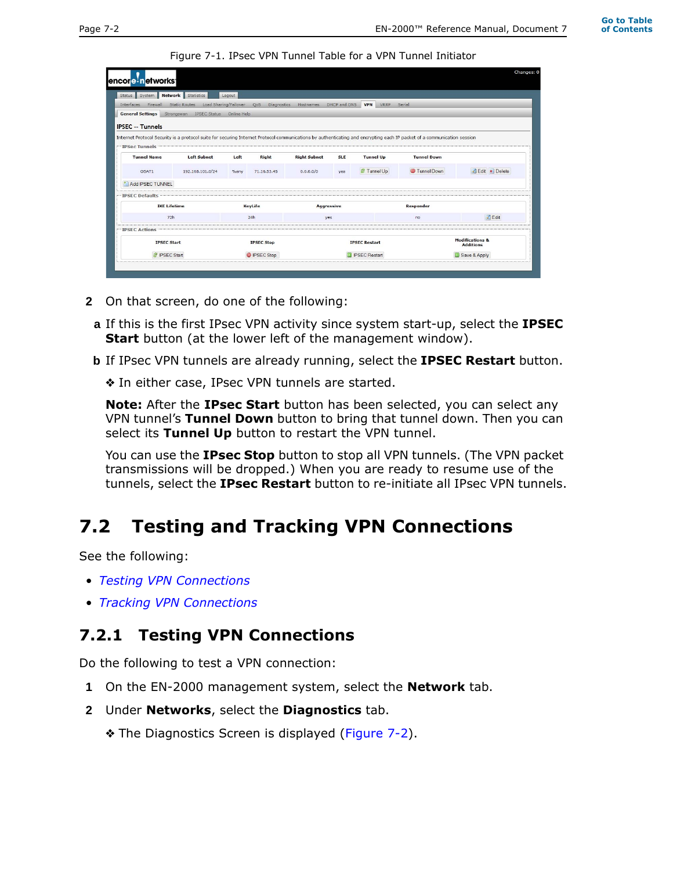Figure 7-1. IPsec VPN Tunnel Table for a VPN Tunnel Initiator

| encore networks        |                                                                                                  |                                                        |                |                                                                                                |                                              |                    |                                                | Changes: 0                                                                                                                                                                                              |
|------------------------|--------------------------------------------------------------------------------------------------|--------------------------------------------------------|----------------|------------------------------------------------------------------------------------------------|----------------------------------------------|--------------------|------------------------------------------------|---------------------------------------------------------------------------------------------------------------------------------------------------------------------------------------------------------|
|                        |                                                                                                  |                                                        |                |                                                                                                |                                              |                    |                                                |                                                                                                                                                                                                         |
| Interfaces<br>Firewall |                                                                                                  |                                                        |                |                                                                                                |                                              | <b>VPN</b><br>VRRP |                                                |                                                                                                                                                                                                         |
|                        |                                                                                                  |                                                        |                |                                                                                                |                                              |                    |                                                |                                                                                                                                                                                                         |
|                        |                                                                                                  |                                                        |                |                                                                                                |                                              |                    |                                                |                                                                                                                                                                                                         |
|                        |                                                                                                  |                                                        |                |                                                                                                |                                              |                    |                                                |                                                                                                                                                                                                         |
|                        |                                                                                                  |                                                        |                |                                                                                                |                                              |                    |                                                |                                                                                                                                                                                                         |
|                        |                                                                                                  |                                                        |                |                                                                                                |                                              |                    |                                                |                                                                                                                                                                                                         |
| OSAT1                  | 192,168,101,0/24                                                                                 | %any                                                   | 71.16.53.45    | 0.0.0.0/0                                                                                      | yes                                          | Funnel Up          | Tunnel Down                                    | Edit X Delete                                                                                                                                                                                           |
| * Add IPSEC TUNNEL     |                                                                                                  |                                                        |                |                                                                                                |                                              |                    |                                                |                                                                                                                                                                                                         |
| <b>IPSEC Defaults</b>  |                                                                                                  |                                                        |                |                                                                                                |                                              |                    |                                                |                                                                                                                                                                                                         |
| <b>IKE Lifetime</b>    |                                                                                                  | <b>KeyLife</b>                                         |                | <b>Aggressive</b>                                                                              |                                              |                    | <b>Responder</b>                               |                                                                                                                                                                                                         |
| 72h                    |                                                                                                  |                                                        | 24h            |                                                                                                |                                              |                    | no                                             | $\triangle$ Edit                                                                                                                                                                                        |
| <b>IPSEC Actions</b>   |                                                                                                  |                                                        |                |                                                                                                |                                              |                    |                                                |                                                                                                                                                                                                         |
| <b>IPSEC Start</b>     |                                                                                                  | <b>IPSEC Stop</b>                                      |                | <b>IPSEC Restart</b>                                                                           |                                              |                    | <b>Modifications &amp;</b><br><b>Additions</b> |                                                                                                                                                                                                         |
| <b>E</b> IPSEC Start   |                                                                                                  | <b>PSEC Stop</b>                                       |                | <b>D</b> IPSEC Restart                                                                         |                                              |                    | Save & Apply                                   |                                                                                                                                                                                                         |
|                        | <b>General Settings</b><br><b>IPSEC -- Tunnels</b><br><b>IPSec Tunnels</b><br><b>Tunnel Name</b> | Status System Network Statistics<br><b>Left Subnet</b> | Logout<br>Left | Static Routes Load Sharing/Failover OoS<br>Strongswan IPSEC Status Online Help<br><b>Right</b> | Diagnostics Hostnames<br><b>Right Subnet</b> | <b>SLE</b><br>yes  | DHCP and DNS<br><b>Tunnel Up</b>               | Serial<br>Internet Protocol Security is a protocol suite for securing Internet Protocol communications by authenticating and encrypting each IP packet of a communication session<br><b>Tunnel Down</b> |

- **2** On that screen, do one of the following:
- **a** If this is the first IPsec VPN activity since system start-up, select the **IPSEC Start** button (at the lower left of the management window).
- **b** If IPsec VPN tunnels are already running, select the **IPSEC Restart** button.
	- ❖ In either case, IPsec VPN tunnels are started.

**Note:** After the **IPsec Start** button has been selected, you can select any VPN tunnel's **Tunnel Down** button to bring that tunnel down. Then you can select its **Tunnel Up** button to restart the VPN tunnel.

You can use the **IPsec Stop** button to stop all VPN tunnels. (The VPN packet transmissions will be dropped.) When you are ready to resume use of the tunnels, select the **IPsec Restart** button to re-initiate all IPsec VPN tunnels.

## **7.2 Testing and Tracking VPN Connections**

See the following:

- *Testing VPN Connections*
- *Tracking VPN Connections*

### **7.2.1 Testing VPN Connections**

Do the following to test a VPN connection:

- **1** On the EN-2000 management system, select the **Network** tab.
- **2** Under **Networks**, select the **Diagnostics** tab.
	- ❖ The Diagnostics Screen is displayed (Figure 7-2).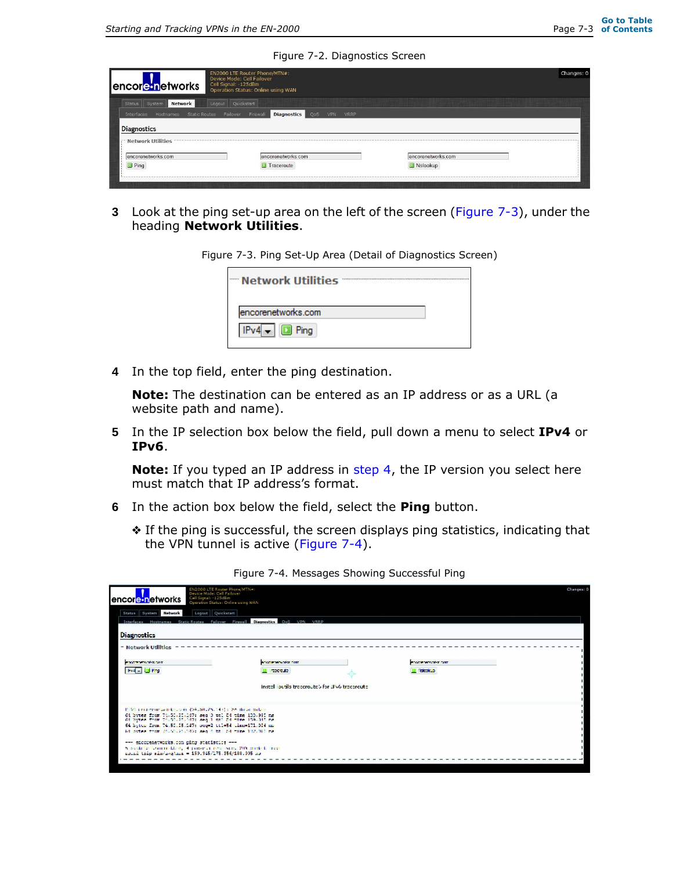Figure 7-2. Diagnostics Screen

| encorenetworks.com<br>Nslookup                                               |  |
|------------------------------------------------------------------------------|--|
| <b>Diagnostics</b><br>VPN<br>VRRP<br>QoS<br>encorenetworks.com<br>Traceroute |  |

**3** Look at the ping set-up area on the left of the screen (Figure 7-3), under the heading **Network Utilities**.

Figure 7-3. Ping Set-Up Area (Detail of Diagnostics Screen)

| — Network Utilities  |  |
|----------------------|--|
| encorenetworks.com   |  |
| $IPv4$ – $\Box$ Ping |  |

**4** In the top field, enter the ping destination.

**Note:** The destination can be entered as an IP address or as a URL (a website path and name).

**5** In the IP selection box below the field, pull down a menu to select **IPv4** or **IPv6**.

**Note:** If you typed an IP address in step 4, the IP version you select here must match that IP address's format.

- **6** In the action box below the field, select the **Ping** button.
	- ❖ If the ping is successful, the screen displays ping statistics, indicating that the VPN tunnel is active (Figure 7-4).

| EN2000 LTE Router Phone/MTN=:<br>Device Mode: Cell Failover<br>Cell Signal: - 125dBm<br>encore networks<br>Operation Status: Online using WAN                            |                                                 |                     | Changes: 0 |
|--------------------------------------------------------------------------------------------------------------------------------------------------------------------------|-------------------------------------------------|---------------------|------------|
| Logout Quickstart<br>Status System Network                                                                                                                               |                                                 |                     |            |
| Interfaces Hostnames Static-Routes Failover Firewall Diagnostics OoS VPN VRRP                                                                                            |                                                 |                     |            |
| <b>Diagnostics</b><br>= Network Utilities                                                                                                                                |                                                 |                     |            |
| <b>PERSONAL PROPERTY</b>                                                                                                                                                 | encomments also com-                            | encontrateralm com  |            |
| <b>IFVEL DEPART</b>                                                                                                                                                      | El importato                                    | <b>III</b> Nobelski |            |
|                                                                                                                                                                          | Installibutils traceroute) for JPv6 traceroute. |                     |            |
| P150 constructaembousser (94.50.25.143); he dolar celes                                                                                                                  |                                                 |                     |            |
| 61 bytes from 76.50.20.147; seg 0 tol 54 time 199.995 mg<br>64 byzes from 76.50.25.147; seq 1 mm 54 class 159.345 ms                                                     |                                                 |                     |            |
| 84 Switz: Fram 74, 55, 25, 247, soo 2 ii. - 54 time 171, 324 mm<br>14 between man 201501251749, wenn 6 th 24 came 102.010 mg                                             |                                                 |                     |            |
| --- encouenetworks.com ping statistics ---<br>h sockete Louisin Llaw, it published recovered. 201 socket, trace<br>noined trip min/news/max = 159.345/175.356/188.995 mm |                                                 |                     |            |
|                                                                                                                                                                          |                                                 |                     |            |

Figure 7-4. Messages Showing Successful Ping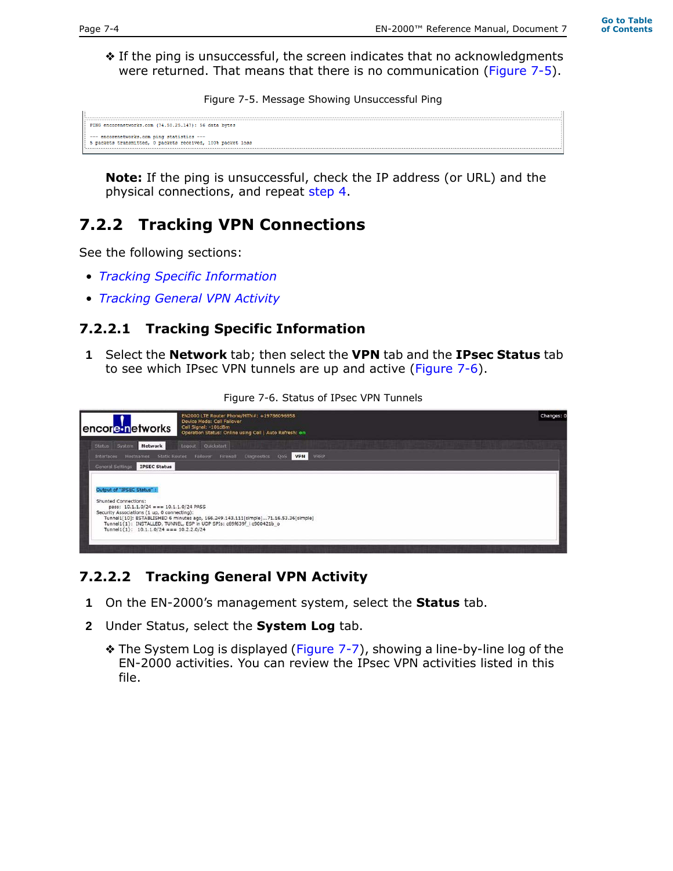❖ If the ping is unsuccessful, the screen indicates that no acknowledgments were returned. That means that there is no communication (Figure 7-5).

Figure 7-5. Message Showing Unsuccessful Ping

```
PING encorenetworks.com (74.50.25.147): 56 data bytes
--- encorenetworks.com ping statistics ---<br>5 packets transmitted, 0 packets received, 100% packet loss
```
**Note:** If the ping is unsuccessful, check the IP address (or URL) and the physical connections, and repeat step 4.

## **7.2.2 Tracking VPN Connections**

See the following sections:

- *Tracking Specific Information*
- *Tracking General VPN Activity*

### **7.2.2.1 Tracking Specific Information**

**1** Select the **Network** tab; then select the **VPN** tab and the **IPsec Status** tab to see which IPsec VPN tunnels are up and active (Figure 7-6).

Figure 7-6. Status of IPsec VPN Tunnels

| encore networks                                                                                                                                                                                      | EN2000 LTE Router Phone/MTN#: +19786096958<br>Device Mode: Cell Failover<br>Cell Signal: -101dBm<br>Operation Status: Online using Cell   Auto Refresh: on  | Changes: 0 |
|------------------------------------------------------------------------------------------------------------------------------------------------------------------------------------------------------|-------------------------------------------------------------------------------------------------------------------------------------------------------------|------------|
| Network<br>Status System                                                                                                                                                                             | Logout Quickstart                                                                                                                                           |            |
| Interfaces                                                                                                                                                                                           | Hostnames Static-Routes Fallover Firewall Diagnostics OoS VPN<br>VRRP                                                                                       |            |
| <b>IPSEC Status</b><br>General Settings                                                                                                                                                              |                                                                                                                                                             |            |
| Output of "IPSEC Status" :<br><b>Shunted Connections:</b><br>pass: $10.1.1.0/24 == 10.1.1.0/24$ PASS<br>Security Associations (1 up, 0 connecting):<br>Tunnel1 $\{1\}$ : 10.1.1.0/24 === 10.2.2.0/24 | Tunnel1[10]: ESTABLISHED 6 minutes ago, 166.249.143.111[simple]71.16.53.36[simple]<br>Tunnel1{1}: INSTALLED, TUNNEL, ESP in UDP SPIs: c69f639f i c900421b o |            |

### **7.2.2.2 Tracking General VPN Activity**

- **1** On the EN-2000's management system, select the **Status** tab.
- **2** Under Status, select the **System Log** tab.
	- ❖ The System Log is displayed (Figure 7-7), showing a line-by-line log of the EN-2000 activities. You can review the IPsec VPN activities listed in this file.